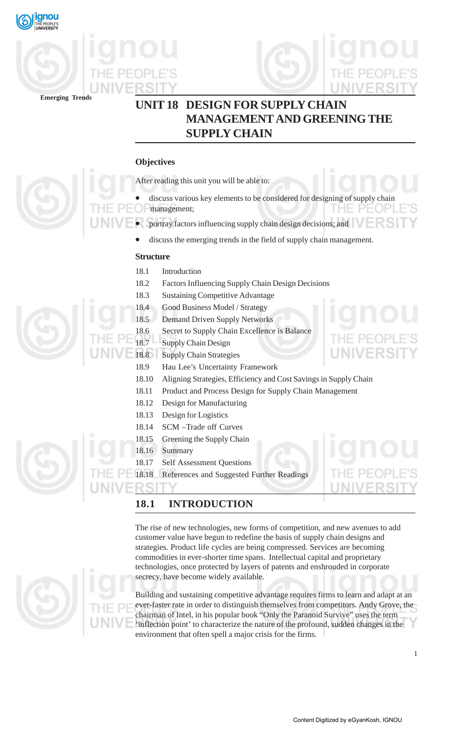





# **UNIT 18 DESIGN FOR SUPPLY CHAIN MANAGEMENT AND GREENING THE SUPPLY CHAIN**

# **Objectives**

After reading this unit you will be able to:

- discuss various key elements to be considered for designing of supply chain
- management;
- portray factors influencing supply chain design decisions; and
	- discuss the emerging trends in the field of supply chain management.

# **Structure**

- 18.1 Introduction
- 18.2 Factors Influencing Supply Chain Design Decisions
- 18.3 Sustaining Competitive Advantage
- 18.4 Good Business Model / Strategy
- 18.5 Demand Driven Supply Networks
- 18.6 Secret to Supply Chain Excellence is Balance

18.7 Supply Chain Design

- 18.8 Supply Chain Strategies
- 18.9 Hau Lee's Uncertainty Framework
- 18.10 Aligning Strategies, Efficiency and Cost Savings in Supply Chain
- 18.11 Product and Process Design for Supply Chain Management
- 18.12 Design for Manufacturing
- 18.13 Design for Logistics
- 18.14 SCM –Trade off Curves
- 18.15 Greening the Supply Chain
- 18.16 Summary
- 18.17 Self Assessment Questions

18.18 References and Suggested Further Readings

# **18.1 INTRODUCTION**

The rise of new technologies, new forms of competition, and new avenues to add customer value have begun to redefine the basis of supply chain designs and strategies. Product life cycles are being compressed. Services are becoming commodities in ever-shorter time spans. Intellectual capital and proprietary technologies, once protected by layers of patents and enshrouded in corporate secrecy, have become widely available.

Building and sustaining competitive advantage requires firms to learn and adapt at an ever-faster rate in order to distinguish themselves from competitors. Andy Grove, the chairman of Intel, in his popular book "Only the Paranoid Survive" uses the term 'inflection point' to characterize the nature of the profound, sudden changes in the environment that often spell a major crisis for the firms.



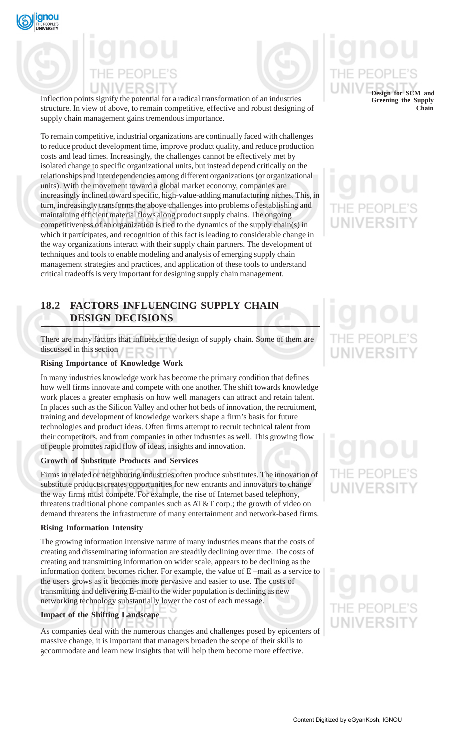

Inflection points signify the potential for a radical transformation of an industries structure. In view of above, to remain competitive, effective and robust designing of supply chain management gains tremendous importance.

To remain competitive, industrial organizations are continually faced with challenges to reduce product development time, improve product quality, and reduce production costs and lead times. Increasingly, the challenges cannot be effectively met by isolated change to specific organizational units, but instead depend critically on the relationships and interdependencies among different organizations (or organizational units). With the movement toward a global market economy, companies are increasingly inclined toward specific, high-value-adding manufacturing niches. This, in turn, increasingly transforms the above challenges into problems of establishing and maintaining efficient material flows along product supply chains. The ongoing competitiveness of an organization is tied to the dynamics of the supply chain(s) in which it participates, and recognition of this fact is leading to considerable change in the way organizations interact with their supply chain partners. The development of techniques and tools to enable modeling and analysis of emerging supply chain management strategies and practices, and application of these tools to understand critical tradeoffs is very important for designing supply chain management.

# **18.2 FACTORS INFLUENCING SUPPLY CHAIN DESIGN DECISIONS**

There are many factors that influence the design of supply chain. Some of them are discussed in this section FRSI

### **Rising Importance of Knowledge Work**

In many industries knowledge work has become the primary condition that defines how well firms innovate and compete with one another. The shift towards knowledge work places a greater emphasis on how well managers can attract and retain talent. In places such as the Silicon Valley and other hot beds of innovation, the recruitment, training and development of knowledge workers shape a firm's basis for future technologies and product ideas. Often firms attempt to recruit technical talent from their competitors, and from companies in other industries as well. This growing flow of people promotes rapid flow of ideas, insights and innovation.

## **Growth of Substitute Products and Services**

Firms in related or neighboring industries often produce substitutes. The innovation of substitute products creates opportunities for new entrants and innovators to change the way firms must compete. For example, the rise of Internet based telephony, threatens traditional phone companies such as AT&T corp.; the growth of video on demand threatens the infrastructure of many entertainment and network-based firms.

### **Rising Information Intensity**

The growing information intensive nature of many industries means that the costs of creating and disseminating information are steadily declining over time. The costs of creating and transmitting information on wider scale, appears to be declining as the information content becomes richer. For example, the value of E –mail as a service to the users grows as it becomes more pervasive and easier to use. The costs of transmitting and delivering E-mail to the wider population is declining as new networking technology substantially lower the cost of each message.

### **Impact of the Shifting Landscape**

2 accommodate and learn new insights that will help them become more effective. As companies deal with the numerous changes and challenges posed by epicenters of massive change, it is important that managers broaden the scope of their skills to

# **Design for SCM and**

**Greening the Supply Chain**

# F PF ( **JNIVERSI**

# VERSI

# PEOP **JNIVERSI**

# THE PEOP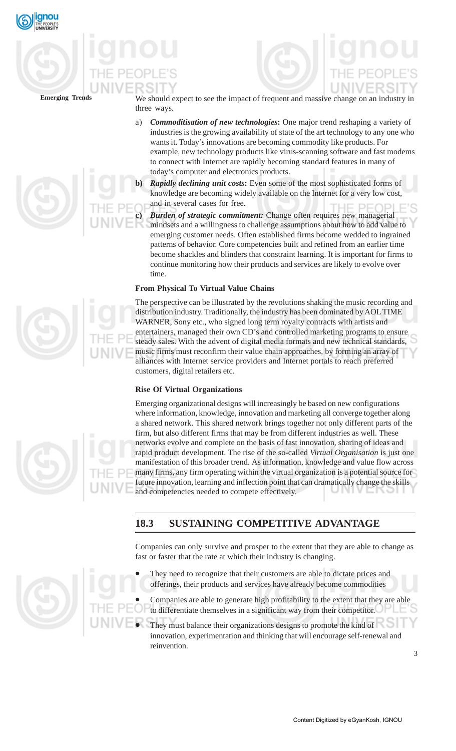





We should expect to see the impact of frequent and massive change on an industry in three ways.

- a) *Commoditisation of new technologies***:** One major trend reshaping a variety of industries is the growing availability of state of the art technology to any one who wants it. Today's innovations are becoming commodity like products. For example, new technology products like virus-scanning software and fast modems to connect with Internet are rapidly becoming standard features in many of today's computer and electronics products.
- **Rapidly declining unit costs:** Even some of the most sophisticated forms of knowledge are becoming widely available on the Internet for a very low cost, and in several cases for free. PEOP
- **c)** *Burden of strategic commitment:* Change often requires new managerial mindsets and a willingness to challenge assumptions about how to add value to emerging customer needs. Often established firms become wedded to ingrained patterns of behavior. Core competencies built and refined from an earlier time become shackles and blinders that constraint learning. It is important for firms to continue monitoring how their products and services are likely to evolve over time.

### **From Physical To Virtual Value Chains**

The perspective can be illustrated by the revolutions shaking the music recording and distribution industry. Traditionally, the industry has been dominated by AOL TIME WARNER, Sony etc., who signed long term royalty contracts with artists and entertainers, managed their own CD's and controlled marketing programs to ensure steady sales. With the advent of digital media formats and new technical standards, music firms must reconfirm their value chain approaches, by forming an array of alliances with Internet service providers and Internet portals to reach preferred customers, digital retailers etc.

### **Rise Of Virtual Organizations**

Emerging organizational designs will increasingly be based on new configurations where information, knowledge, innovation and marketing all converge together along a shared network. This shared network brings together not only different parts of the firm, but also different firms that may be from different industries as well. These networks evolve and complete on the basis of fast innovation, sharing of ideas and rapid product development. The rise of the so-called *Virtual Organisation* is just one manifestation of this broader trend. As information, knowledge and value flow across many firms, any firm operating within the virtual organization is a potential source for future innovation, learning and inflection point that can dramatically change the skills and competencies needed to compete effectively.

# **18.3 SUSTAINING COMPETITIVE ADVANTAGE**

Companies can only survive and prosper to the extent that they are able to change as fast or faster that the rate at which their industry is changing.

- They need to recognize that their customers are able to dictate prices and offerings, their products and services have already become commodities
- Companies are able to generate high profitability to the extent that they are able to differentiate themselves in a significant way from their competitor.
- They must balance their organizations designs to promote the kind of innovation, experimentation and thinking that will encourage self-renewal and reinvention.





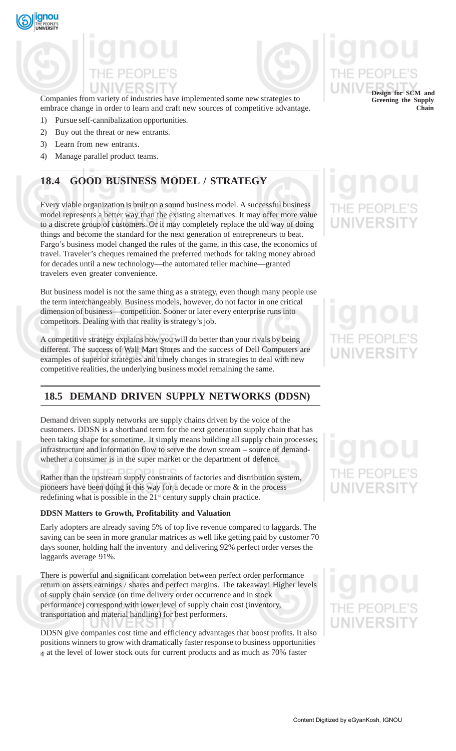

Companies from variety of industries have implemented some new strategies to embrace change in order to learn and craft new sources of competitive advantage.

- 1) Pursue self-cannibalization opportunities.
- 2) Buy out the threat or new entrants.
- 3) Learn from new entrants.
- 4) Manage parallel product teams.

# **18.4 GOOD BUSINESS MODEL / STRATEGY**

Every viable organization is built on a sound business model. A successful business model represents a better way than the existing alternatives. It may offer more value to a discrete group of customers. Or it may completely replace the old way of doing things and become the standard for the next generation of entrepreneurs to beat. Fargo's business model changed the rules of the game, in this case, the economics of travel. Traveler's cheques remained the preferred methods for taking money abroad for decades until a new technology—the automated teller machine—granted travelers even greater convenience.

But business model is not the same thing as a strategy, even though many people use the term interchangeably. Business models, however, do not factor in one critical dimension of business—competition. Sooner or later every enterprise runs into competitors. Dealing with that reality is strategy's job.

A competitive strategy explains how you will do better than your rivals by being different. The success of Wall Mart Stores and the success of Dell Computers are examples of superior strategies and timely changes in strategies to deal with new competitive realities, the underlying business model remaining the same.

# **18.5 DEMAND DRIVEN SUPPLY NETWORKS (DDSN)**

Demand driven supply networks are supply chains driven by the voice of the customers. DDSN is a shorthand term for the next generation supply chain that has been taking shape for sometime. It simply means building all supply chain processes; infrastructure and information flow to serve the down stream – source of demandwhether a consumer is in the super market or the department of defence.

Rather than the upstream supply constraints of factories and distribution system, pioneers have been doing it this way for a decade or more & in the process redefining what is possible in the 21<sup>st</sup> century supply chain practice.

### **DDSN Matters to Growth, Profitability and Valuation**

Early adopters are already saving 5% of top live revenue compared to laggards. The saving can be seen in more granular matrices as well like getting paid by customer 70 days sooner, holding half the inventory and delivering 92% perfect order verses the laggards average 91%.

There is powerful and significant correlation between perfect order performance return on assets earnings / shares and perfect margins. The takeaway! Higher levels of supply chain service (on time delivery order occurrence and in stock performance) correspond with lower level of supply chain cost (inventory, transportation and material handling) for best performers.

4 – at the level of lower stock outs for current products and as much as 70% faster DDSN give companies cost time and efficiency advantages that boost profits. It also positions winners to grow with dramatically faster response to business opportunities



**Design for SCM and Greening the Supply Chain**

# IF PFOP **UNIVERSIT**

# NIVERSIT

# THE PEOPI UNIVERSI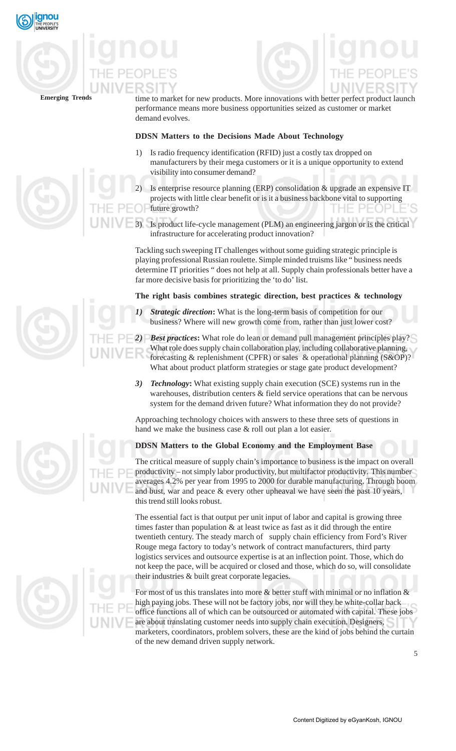

time to market for new products. More innovations with better perfect product launch performance means more business opportunities seized as customer or market demand evolves.

## **DDSN Matters to the Decisions Made About Technology**

- 1) Is radio frequency identification (RFID) just a costly tax dropped on manufacturers by their mega customers or it is a unique opportunity to extend visibility into consumer demand?
- Is enterprise resource planning (ERP) consolidation & upgrade an expensive IT projects with little clear benefit or is it a business backbone vital to supporting future growth?
- 3) Is product life-cycle management (PLM) an engineering jargon or is the critical infrastructure for accelerating product innovation?

Tackling such sweeping IT challenges without some guiding strategic principle is playing professional Russian roulette. Simple minded truisms like " business needs determine IT priorities " does not help at all. Supply chain professionals better have a far more decisive basis for prioritizing the 'to do' list.

## **The right basis combines strategic direction, best practices & technology**

*Strategic direction*: What is the long-term basis of competition for our business? Where will new growth come from, rather than just lower cost?

*2) Best practices***:** What role do lean or demand pull management principles play? What role does supply chain collaboration play, including collaborative planning, forecasting & replenishment (CPFR) or sales & operational planning (S&OP)? What about product platform strategies or stage gate product development?

*3) Technology***:** What existing supply chain execution (SCE) systems run in the warehouses, distribution centers & field service operations that can be nervous system for the demand driven future? What information they do not provide?

Approaching technology choices with answers to these three sets of questions in hand we make the business case & roll out plan a lot easier.

## **DDSN Matters to the Global Economy and the Employment Base**

The critical measure of supply chain's importance to business is the impact on overall productivity – not simply labor productivity, but multifactor productivity. This number averages 4.2% per year from 1995 to 2000 for durable manufacturing. Through boom and bust, war and peace & every other upheaval we have seen the past 10 years, this trend still looks robust.

The essential fact is that output per unit input of labor and capital is growing three times faster than population & at least twice as fast as it did through the entire twentieth century. The steady march of supply chain efficiency from Ford's River Rouge mega factory to today's network of contract manufacturers, third party logistics services and outsource expertise is at an inflection point. Those, which do not keep the pace, will be acquired or closed and those, which do so, will consolidate their industries & built great corporate legacies.

For most of us this translates into more  $\&$  better stuff with minimal or no inflation  $\&$ high paying jobs. These will not be factory jobs, nor will they be white-collar back office functions all of which can be outsourced or automated with capital. These jobs are about translating customer needs into supply chain execution. Designers, marketers, coordinators, problem solvers, these are the kind of jobs behind the curtain of the new demand driven supply network.





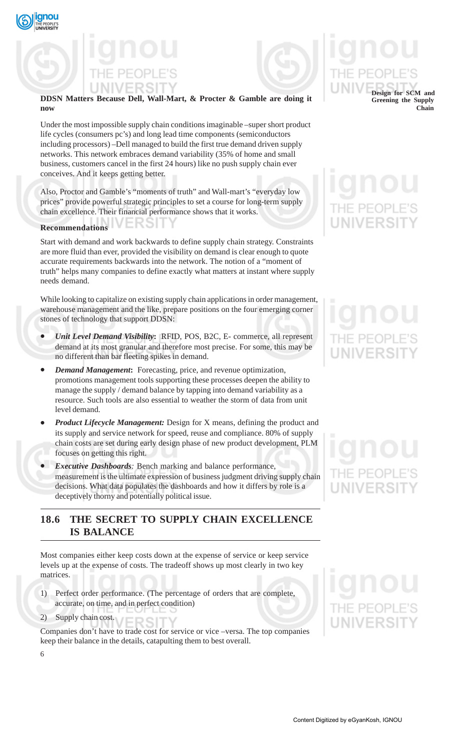



### **DDSN Matters Because Dell, Wall-Mart, & Procter & Gamble are doing it now**

Under the most impossible supply chain conditions imaginable –super short product life cycles (consumers pc's) and long lead time components (semiconductors including processors) –Dell managed to build the first true demand driven supply networks. This network embraces demand variability (35% of home and small business, customers cancel in the first 24 hours) like no push supply chain ever conceives. And it keeps getting better.

Also, Proctor and Gamble's "moments of truth" and Wall-mart's "everyday low prices" provide powerful strategic principles to set a course for long-term supply chain excellence. Their financial performance shows that it works.

ERSI

# **Recommendations**

Start with demand and work backwards to define supply chain strategy. Constraints are more fluid than ever, provided the visibility on demand is clear enough to quote accurate requirements backwards into the network. The notion of a "moment of truth" helps many companies to define exactly what matters at instant where supply needs demand.

While looking to capitalize on existing supply chain applications in order management, warehouse management and the like, prepare positions on the four emerging corner stones of technology that support DDSN:

- *Unit Level Demand Visibility***:** RFID, POS, B2C, E- commerce, all represent demand at its most granular and therefore most precise. For some, this may be no different than bar fleeting spikes in demand.
- *Demand Management***:**Forecasting, price, and revenue optimization, promotions management tools supporting these processes deepen the ability to manage the supply / demand balance by tapping into demand variability as a resource. Such tools are also essential to weather the storm of data from unit level demand.
- *Product Lifecycle Management:* Design for X means, defining the product and its supply and service network for speed, reuse and compliance. 80% of supply chain costs are set during early design phase of new product development, PLM focuses on getting this right.
- *Executive Dashboards:* Bench marking and balance performance, measurement is the ultimate expression of business judgment driving supply chain decisions. What data populates the dashboards and how it differs by role is a deceptively thorny and potentially political issue.

# **18.6 THE SECRET TO SUPPLY CHAIN EXCELLENCE IS BALANCE**

Most companies either keep costs down at the expense of service or keep service levels up at the expense of costs. The tradeoff shows up most clearly in two key matrices.

- 1) Perfect order performance. (The percentage of orders that are complete, accurate, on time, and in perfect condition)
- 2) Supply chain cost.

Companies don't have to trade cost for service or vice –versa. The top companies keep their balance in the details, catapulting them to best overall.

# **Design for SCM and Greening the Supply Chain**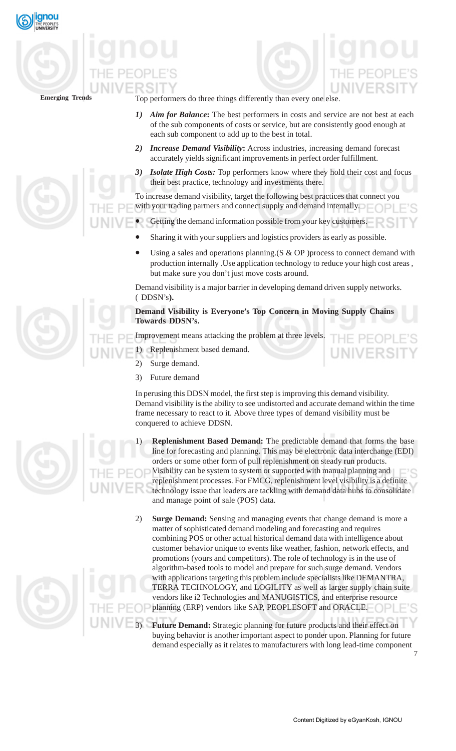



Top performers do three things differently than every one else.

- Aim for Balance: The best performers in costs and service are not best at each of the sub components of costs or service, but are consistently good enough at each sub component to add up to the best in total.
- *2) Increase Demand Visibility***:** Across industries, increasing demand forecast accurately yields significant improvements in perfect order fulfillment.
- *3) Isolate High Costs:* Top performers know where they hold their cost and focus their best practice, technology and investments there.

To increase demand visibility, target the following best practices that connect you with your trading partners and connect supply and demand internally.

- Getting the demand information possible from your key customers.
	- Sharing it with your suppliers and logistics providers as early as possible.
	- Using a sales and operations planning.  $(S & OP)$  process to connect demand with production internally .Use application technology to reduce your high cost areas , but make sure you don't just move costs around.

Demand visibility is a major barrier in developing demand driven supply networks. ( DDSN's**).**

**Demand Visibility is Everyone's Top Concern in Moving Supply Chains Towards DDSN's.**

Improvement means attacking the problem at three levels.

1) Replenishment based demand.

- 2) Surge demand.
- 3) Future demand

In perusing this DDSN model, the first step is improving this demand visibility. Demand visibility is the ability to see undistorted and accurate demand within the time frame necessary to react to it. Above three types of demand visibility must be conquered to achieve DDSN.

Replenishment Based Demand: The predictable demand that forms the base line for forecasting and planning. This may be electronic data interchange (EDI) orders or some other form of pull replenishment on steady run products. Visibility can be system to system or supported with manual planning and replenishment processes. For FMCG, replenishment level visibility is a definite technology issue that leaders are tackling with demand data hubs to consolidate and manage point of sale (POS) data.

2) **Surge Demand:** Sensing and managing events that change demand is more a matter of sophisticated demand modeling and forecasting and requires combining POS or other actual historical demand data with intelligence about customer behavior unique to events like weather, fashion, network effects, and promotions (yours and competitors). The role of technology is in the use of algorithm-based tools to model and prepare for such surge demand. Vendors with applications targeting this problem include specialists like DEMANTRA, TERRA TECHNOLOGY, and LOGILITY as well as larger supply chain suite vendors like i2 Technologies and MANUGISTICS, and enterprise resource planning (ERP) vendors like SAP, PEOPLESOFT and ORACLE.

Future Demand: Strategic planning for future products and their effect on buying behavior is another important aspect to ponder upon. Planning for future demand especially as it relates to manufacturers with long lead-time component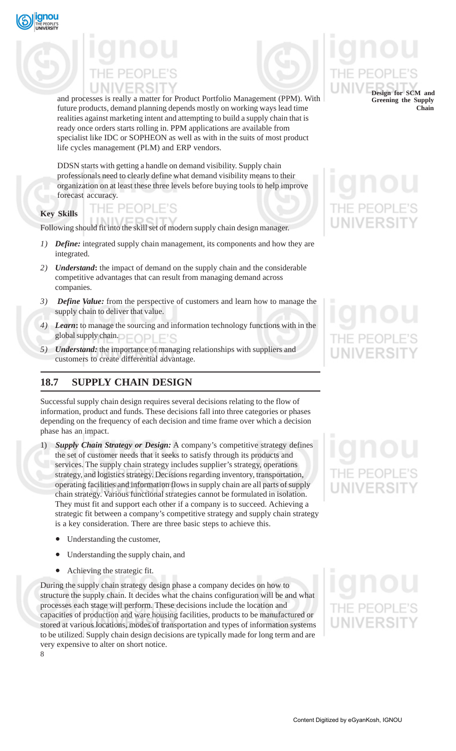



and processes is really a matter for Product Portfolio Management (PPM). With future products, demand planning depends mostly on working ways lead time realities against marketing intent and attempting to build a supply chain that is ready once orders starts rolling in. PPM applications are available from specialist like IDC or SOPHEON as well as with in the suits of most product life cycles management (PLM) and ERP vendors.

DDSN starts with getting a handle on demand visibility. Supply chain professionals need to clearly define what demand visibility means to their organization on at least these three levels before buying tools to help improve forecast accuracy.

## **Key Skills**

THE PEOPLE'S

Following should fit into the skill set of modern supply chain design manager.

- *1) Define:* integrated supply chain management, its components and how they are integrated.
- *2) Understand***:** the impact of demand on the supply chain and the considerable competitive advantages that can result from managing demand across companies.
- *3) Define Value:* from the perspective of customers and learn how to manage the supply chain to deliver that value.
- *4) Learn***:** to manage the sourcing and information technology functions with in the global supply chain.  $\Box$   $\Box$   $\Box$   $\Box$   $\Box$
- *5) Understand:* the importance of managing relationships with suppliers and customers to create differential advantage.

# **18.7 SUPPLY CHAIN DESIGN**

Successful supply chain design requires several decisions relating to the flow of information, product and funds. These decisions fall into three categories or phases depending on the frequency of each decision and time frame over which a decision phase has an impact.

**Supply Chain Strategy or Design:** A company's competitive strategy defines the set of customer needs that it seeks to satisfy through its products and services. The supply chain strategy includes supplier's strategy, operations strategy, and logistics strategy. Decisions regarding inventory, transportation, operating facilities and information flows in supply chain are all parts of supply chain strategy. Various functional strategies cannot be formulated in isolation. They must fit and support each other if a company is to succeed. Achieving a strategic fit between a company's competitive strategy and supply chain strategy is a key consideration. There are three basic steps to achieve this.

- Understanding the customer,
- Understanding the supply chain, and
- Achieving the strategic fit.

8 During the supply chain strategy design phase a company decides on how to structure the supply chain. It decides what the chains configuration will be and what processes each stage will perform. These decisions include the location and capacities of production and ware housing facilities, products to be manufactured or stored at various locations, modes of transportation and types of information systems to be utilized. Supply chain design decisions are typically made for long term and are very expensive to alter on short notice.

**Design for SCM and Greening the Supply Chain**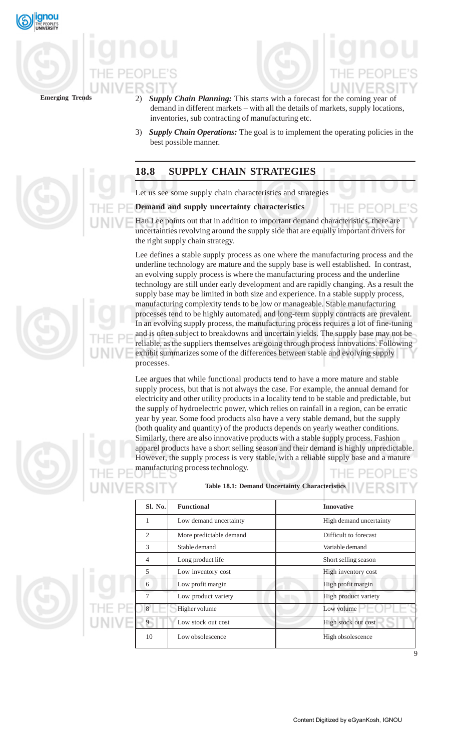





- 2) *Supply Chain Planning:* This starts with a forecast for the coming year of demand in different markets – with all the details of markets, supply locations, inventories, sub contracting of manufacturing etc.
- 3) *Supply Chain Operations:* The goal is to implement the operating policies in the best possible manner.

# **18.8 SUPPLY CHAIN STRATEGIES**

Let us see some supply chain characteristics and strategies

### **Demand and supply uncertainty characteristics**

Hau Lee points out that in addition to important demand characteristics, there are uncertainties revolving around the supply side that are equally important drivers for the right supply chain strategy.

Lee defines a stable supply process as one where the manufacturing process and the underline technology are mature and the supply base is well established. In contrast, an evolving supply process is where the manufacturing process and the underline technology are still under early development and are rapidly changing. As a result the supply base may be limited in both size and experience. In a stable supply process, manufacturing complexity tends to be low or manageable. Stable manufacturing processes tend to be highly automated, and long-term supply contracts are prevalent. In an evolving supply process, the manufacturing process requires a lot of fine-tuning and is often subject to breakdowns and uncertain yields. The supply base may not be reliable, as the suppliers themselves are going through process innovations. Following exhibit summarizes some of the differences between stable and evolving supply processes.

Lee argues that while functional products tend to have a more mature and stable supply process, but that is not always the case. For example, the annual demand for electricity and other utility products in a locality tend to be stable and predictable, but the supply of hydroelectric power, which relies on rainfall in a region, can be erratic year by year. Some food products also have a very stable demand, but the supply (both quality and quantity) of the products depends on yearly weather conditions. Similarly, there are also innovative products with a stable supply process. Fashion apparel products have a short selling season and their demand is highly unpredictable. However, the supply process is very stable, with a reliable supply base and a mature manufacturing process technology.

**Table 18.1: Demand Uncertainty Characteristics**

| Sl. No.                             | <b>Functional</b>       | <b>Innovative</b>       |  |
|-------------------------------------|-------------------------|-------------------------|--|
| 1                                   | Low demand uncertainty  | High demand uncertainty |  |
| 2                                   | More predictable demand | Difficult to forecast   |  |
| 3                                   | Stable demand           | Variable demand         |  |
| Long product life<br>$\overline{4}$ |                         | Short selling season    |  |
| 5                                   | Low inventory cost      | High inventory cost     |  |
| 6                                   | Low profit margin       | High profit margin      |  |
| $\tau$                              | Low product variety     | High product variety    |  |
| 8                                   | Higher volume           | Low volume              |  |
| Q                                   | Low stock out cost      | High stock out cost     |  |
| 10                                  | Low obsolescence        | High obsolescence       |  |
|                                     |                         |                         |  |

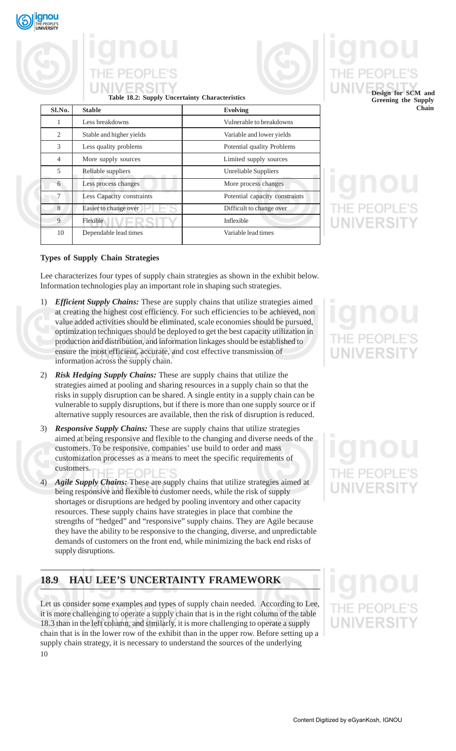

# **Table 18.2: Supply Uncertainty Characteristics**

| S1.N0.         | <b>Stable</b>             | <b>Evolving</b>                |  |
|----------------|---------------------------|--------------------------------|--|
| 1              | Less breakdowns           | Vulnerable to breakdowns       |  |
| $\overline{c}$ | Stable and higher yields  | Variable and lower yields      |  |
| 3              | Less quality problems     | Potential quality Problems     |  |
| 4              | More supply sources       | Limited supply sources         |  |
| 5              | Reliable suppliers        | Unreliable Suppliers           |  |
| 6              | Less process changes      | More process changes           |  |
| 7              | Less Capacity constraints | Potential capacity constraints |  |
| 8              | Easier to change over     | Difficult to change over       |  |
| 9              | Flexible                  | Inflexible                     |  |
| 10             | Dependable lead times     | Variable lead times            |  |

# **Design for SCM and Greening the Supply**

**Chain**

### **Types of Supply Chain Strategies**

Lee characterizes four types of supply chain strategies as shown in the exhibit below. Information technologies play an important role in shaping such strategies.

- 1) *Efficient Supply Chains:* These are supply chains that utilize strategies aimed at creating the highest cost efficiency. For such efficiencies to be achieved, non value added activities should be eliminated, scale economies should be pursued, optimization techniques should be deployed to get the best capacity utilization in production and distribution, and information linkages should be established to ensure the most efficient, accurate, and cost effective transmission of information across the supply chain.
- 2) *Risk Hedging Supply Chains:* These are supply chains that utilize the strategies aimed at pooling and sharing resources in a supply chain so that the risks in supply disruption can be shared. A single entity in a supply chain can be vulnerable to supply disruptions, but if there is more than one supply source or if alternative supply resources are available, then the risk of disruption is reduced.
- 3) *Responsive Supply Chains:* These are supply chains that utilize strategies aimed at being responsive and flexible to the changing and diverse needs of the customers. To be responsive, companies' use build to order and mass customization processes as a means to meet the specific requirements of customers. PEOPLE'S
- 4) *Agile Supply Chains:* These are supply chains that utilize strategies aimed at being responsive and flexible to customer needs, while the risk of supply shortages or disruptions are hedged by pooling inventory and other capacity resources. These supply chains have strategies in place that combine the strengths of "hedged" and "responsive" supply chains. They are Agile because they have the ability to be responsive to the changing, diverse, and unpredictable demands of customers on the front end, while minimizing the back end risks of supply disruptions.

# **18.9 HAU LEE'S UNCERTAINTY FRAMEWORK**

10 Let us consider some examples and types of supply chain needed. According to Lee, it is more challenging to operate a supply chain that is in the right column of the table 18.3 than in the left column, and similarly, it is more challenging to operate a supply chain that is in the lower row of the exhibit than in the upper row. Before setting up a supply chain strategy, it is necessary to understand the sources of the underlying

# IF PF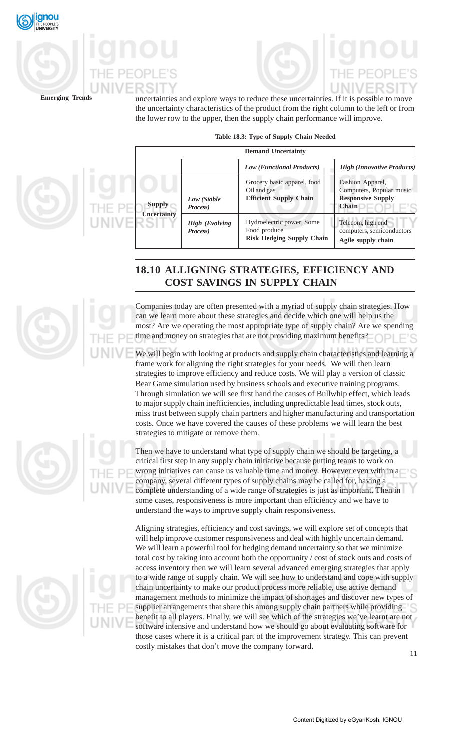



uncertainties and explore ways to reduce these uncertainties. If it is possible to move the uncertainty characteristics of the product from the right column to the left or from the lower row to the upper, then the supply chain performance will improve.

**Table 18.3: Type of Supply Chain Needed**

|                    |                                   | <b>Demand Uncertainty</b>                                                     |                                                                                          |
|--------------------|-----------------------------------|-------------------------------------------------------------------------------|------------------------------------------------------------------------------------------|
|                    |                                   | <b>Low (Functional Products)</b>                                              | <b>High (Innovative Product:</b>                                                         |
| <b>Supply</b>      | Low (Stable<br>Process)           | Grocery basic apparel, food<br>Oil and gas<br><b>Efficient Supply Chain</b>   | Fashion Apparel,<br>Computers, Popular music<br><b>Responsive Supply</b><br><b>Chain</b> |
| <b>Uncertainty</b> | <b>High (Evolving</b><br>Process) | Hydroelectric power, Some<br>Food produce<br><b>Risk Hedging Supply Chain</b> | Telecom, high end<br>computers, semiconductors<br>Agile supply chain                     |

# **18.10 ALLIGNING STRATEGIES, EFFICIENCY AND COST SAVINGS IN SUPPLY CHAIN**

Companies today are often presented with a myriad of supply chain strategies. How can we learn more about these strategies and decide which one will help us the most? Are we operating the most appropriate type of supply chain? Are we spending time and money on strategies that are not providing maximum benefits?

We will begin with looking at products and supply chain characteristics and learning a frame work for aligning the right strategies for your needs. We will then learn strategies to improve efficiency and reduce costs. We will play a version of classic Bear Game simulation used by business schools and executive training programs. Through simulation we will see first hand the causes of Bullwhip effect, which leads to major supply chain inefficiencies, including unpredictable lead times, stock outs, miss trust between supply chain partners and higher manufacturing and transportation costs. Once we have covered the causes of these problems we will learn the best strategies to mitigate or remove them.

Then we have to understand what type of supply chain we should be targeting, a critical first step in any supply chain initiative because putting teams to work on wrong initiatives can cause us valuable time and money. However even with in a company, several different types of supply chains may be called for, having a complete understanding of a wide range of strategies is just as important. Then in some cases, responsiveness is more important than efficiency and we have to understand the ways to improve supply chain responsiveness.

Aligning strategies, efficiency and cost savings, we will explore set of concepts that will help improve customer responsiveness and deal with highly uncertain demand. We will learn a powerful tool for hedging demand uncertainty so that we minimize total cost by taking into account both the opportunity / cost of stock outs and costs of access inventory then we will learn several advanced emerging strategies that apply to a wide range of supply chain. We will see how to understand and cope with supply chain uncertainty to make our product process more reliable, use active demand management methods to minimize the impact of shortages and discover new types of supplier arrangements that share this among supply chain partners while providing benefit to all players. Finally, we will see which of the strategies we've learnt are not software intensive and understand how we should go about evaluating software for those cases where it is a critical part of the improvement strategy. This can prevent costly mistakes that don't move the company forward.

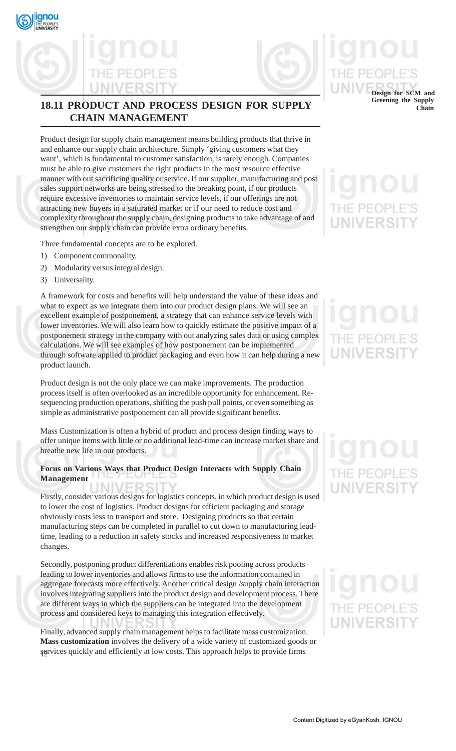# **18.11 PRODUCT AND PROCESS DESIGN FOR SUPPLY CHAIN MANAGEMENT**

Product design for supply chain management means building products that thrive in and enhance our supply chain architecture. Simply 'giving customers what they want', which is fundamental to customer satisfaction, is rarely enough. Companies must be able to give customers the right products in the most resource effective manner with out sacrificing quality or service. If our supplier, manufacturing and post sales support networks are being stressed to the breaking point, if our products require excessive inventories to maintain service levels, if our offerings are not attracting new buyers in a saturated market or if our need to reduce cost and complexity throughout the supply chain, designing products to take advantage of and strengthen our supply chain can provide extra ordinary benefits.

Three fundamental concepts are to be explored.

- 1) Component commonality.
- 2) Modularity versus integral design.
- 3) Universality.

qnou

A framework for costs and benefits will help understand the value of these ideas and what to expect as we integrate them into our product design plans. We will see an excellent example of postponement, a strategy that can enhance service levels with lower inventories. We will also learn how to quickly estimate the positive impact of a postponement strategy in the company with out analyzing sales data or using complex calculations. We will see examples of how postponement can be implemented through software applied to product packaging and even how it can help during a new product launch.

Product design is not the only place we can make improvements. The production process itself is often overlooked as an incredible opportunity for enhancement. Resequencing production operations, shifting the push pull points, or even something as simple as administrative postponement can all provide significant benefits.

Mass Customization is often a hybrid of product and process design finding ways to offer unique items with little or no additional lead-time can increase market share and breathe new life in our products.

### **Focus on Various Ways that Product Design Interacts with Supply Chain Management**

Firstly, consider various designs for logistics concepts, in which product design is used to lower the cost of logistics. Product designs for efficient packaging and storage obviously costs less to transport and store. Designing products so that certain manufacturing steps can be completed in parallel to cut down to manufacturing leadtime, leading to a reduction in safety stocks and increased responsiveness to market changes.

Secondly, postponing product differentiations enables risk pooling across products leading to lower inventories and allows firms to use the information contained in aggregate forecasts more effectively. Another critical design /supply chain interaction involves integrating suppliers into the product design and development process. There are different ways in which the suppliers can be integrated into the development process and considered keys to managing this integration effectively.

12 services quickly and efficiently at low costs. This approach helps to provide firms Finally, advanced supply chain management helps to facilitate mass customization. **Mass customization** involves the delivery of a wide variety of customized goods or

**Design for SCM and Greening the Supply**

**Chain**

# NIVERSI

# **JNIVERSI**

# IE PEOP **UNIVERSI**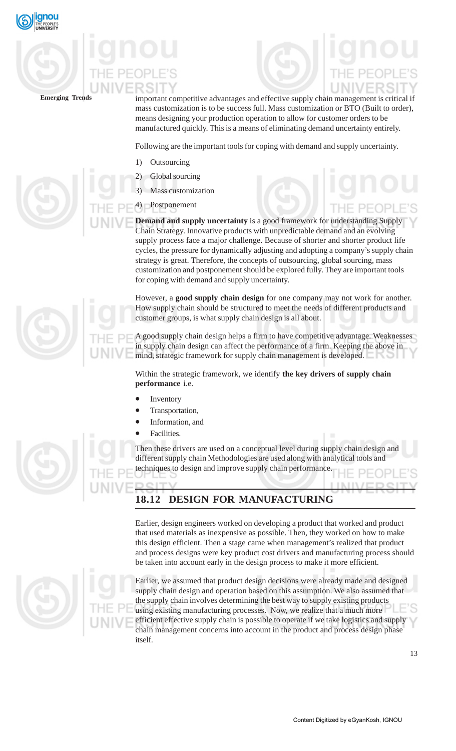

important competitive advantages and effective supply chain management is critical if mass customization is to be success full. Mass customization or BTO (Built to order), means designing your production operation to allow for customer orders to be manufactured quickly. This is a means of eliminating demand uncertainty entirely.

Following are the important tools for coping with demand and supply uncertainty.

- 1) Outsourcing
- 2) Global sourcing
- 3) Mass customization
- **Postponement**

**Demand and supply uncertainty** is a good framework for understanding Supply Chain Strategy. Innovative products with unpredictable demand and an evolving supply process face a major challenge. Because of shorter and shorter product life cycles, the pressure for dynamically adjusting and adopting a company's supply chain strategy is great. Therefore, the concepts of outsourcing, global sourcing, mass customization and postponement should be explored fully. They are important tools for coping with demand and supply uncertainty.

However, a **good supply chain design** for one company may not work for another. How supply chain should be structured to meet the needs of different products and customer groups, is what supply chain design is all about.

A good supply chain design helps a firm to have competitive advantage. Weaknesses in supply chain design can affect the performance of a firm. Keeping the above in mind, strategic framework for supply chain management is developed.

Within the strategic framework, we identify **the key drivers of supply chain performance** i.e.

- **Inventory**
- Transportation,
- Information, and
- Facilities.

Then these drivers are used on a conceptual level during supply chain design and different supply chain Methodologies are used along with analytical tools and techniques to design and improve supply chain performance.

# **18.12 DESIGN FOR MANUFACTURING**

Earlier, design engineers worked on developing a product that worked and product that used materials as inexpensive as possible. Then, they worked on how to make this design efficient. Then a stage came when management's realized that product and process designs were key product cost drivers and manufacturing process should be taken into account early in the design process to make it more efficient.



Earlier, we assumed that product design decisions were already made and designed supply chain design and operation based on this assumption. We also assumed that the supply chain involves determining the best way to supply existing products using existing manufacturing processes. Now, we realize that a much more efficient effective supply chain is possible to operate if we take logistics and supply chain management concerns into account in the product and process design phase itself.



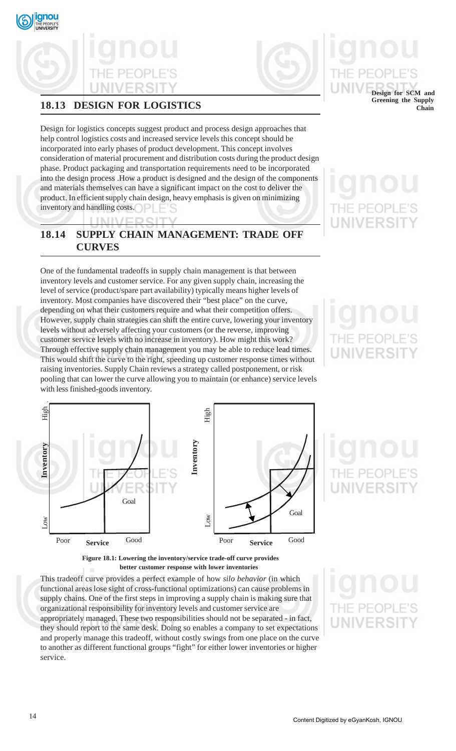

# **18.13 DESIGN FOR LOGISTICS**

Design for logistics concepts suggest product and process design approaches that help control logistics costs and increased service levels this concept should be incorporated into early phases of product development. This concept involves consideration of material procurement and distribution costs during the product design phase. Product packaging and transportation requirements need to be incorporated into the design process .How a product is designed and the design of the components and materials themselves can have a significant impact on the cost to deliver the product. In efficient supply chain design, heavy emphasis is given on minimizing inventory and handling costs.

**18.14 SUPPLY CHAIN MANAGEMENT: TRADE OFF CURVES**

One of the fundamental tradeoffs in supply chain management is that between inventory levels and customer service. For any given supply chain, increasing the level of service (product/spare part availability) typically means higher levels of inventory. Most companies have discovered their "best place" on the curve, depending on what their customers require and what their competition offers. However, supply chain strategies can shift the entire curve, lowering your inventory levels without adversely affecting your customers (or the reverse, improving customer service levels with no increase in inventory). How might this work? Through effective supply chain management you may be able to reduce lead times. This would shift the curve to the right, speeding up customer response times without raising inventories. Supply Chain reviews a strategy called postponement, or risk pooling that can lower the curve allowing you to maintain (or enhance) service levels with less finished-goods inventory.



**Figure 18.1: Lowering the inventory/service trade-off curve provides better customer response with lower inventories**

This tradeoff curve provides a perfect example of how *silo behavior* (in which functional areas lose sight of cross-functional optimizations) can cause problems in supply chains. One of the first steps in improving a supply chain is making sure that organizational responsibility for inventory levels and customer service are appropriately managed. These two responsibilities should not be separated - in fact, they should report to the same desk. Doing so enables a company to set expectations and properly manage this tradeoff, without costly swings from one place on the curve to another as different functional groups "fight" for either lower inventories or higher service.

IE PEOP UNIVERSI

**Design for SCM and Greening the Supply Chain**

**JIVERSI**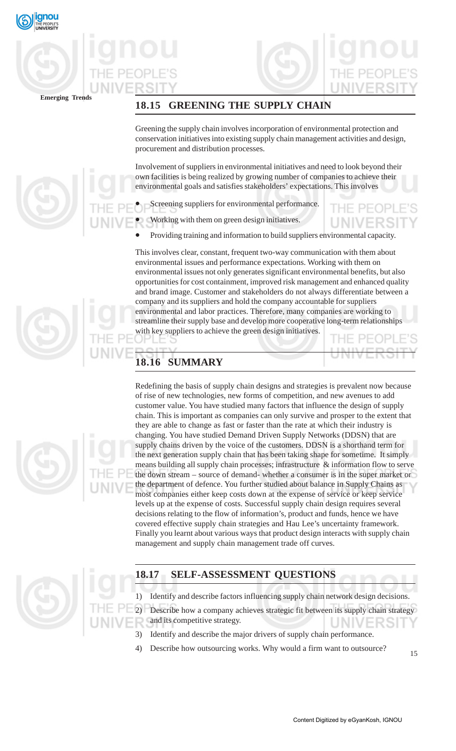

# **18.15 GREENING THE SUPPLY CHAIN**

Greening the supply chain involves incorporation of environmental protection and conservation initiatives into existing supply chain management activities and design, procurement and distribution processes.

Involvement of suppliers in environmental initiatives and need to look beyond their own facilities is being realized by growing number of companies to achieve their environmental goals and satisfies stakeholders' expectations. This involves

- Screening suppliers for environmental performance.
- Working with them on green design initiatives.
- Providing training and information to build suppliers environmental capacity.

This involves clear, constant, frequent two-way communication with them about environmental issues and performance expectations. Working with them on environmental issues not only generates significant environmental benefits, but also opportunities for cost containment, improved risk management and enhanced quality and brand image. Customer and stakeholders do not always differentiate between a company and its suppliers and hold the company accountable for suppliers environmental and labor practices. Therefore, many companies are working to streamline their supply base and develop more cooperative long-term relationships with key suppliers to achieve the green design initiatives.

# **18.16 SUMMARY**

Redefining the basis of supply chain designs and strategies is prevalent now because of rise of new technologies, new forms of competition, and new avenues to add customer value. You have studied many factors that influence the design of supply chain. This is important as companies can only survive and prosper to the extent that they are able to change as fast or faster than the rate at which their industry is changing. You have studied Demand Driven Supply Networks (DDSN) that are supply chains driven by the voice of the customers. DDSN is a shorthand term for the next generation supply chain that has been taking shape for sometime. It simply means building all supply chain processes; infrastructure  $\&$  information flow to serve the down stream – source of demand- whether a consumer is in the super market or the department of defence. You further studied about balance in Supply Chains as most companies either keep costs down at the expense of service or keep service levels up at the expense of costs. Successful supply chain design requires several decisions relating to the flow of information's, product and funds, hence we have covered effective supply chain strategies and Hau Lee's uncertainty framework. Finally you learnt about various ways that product design interacts with supply chain management and supply chain management trade off curves.

# **18.17 SELF-ASSESSMENT QUESTIONS**

1) Identify and describe factors influencing supply chain network design decisions.

2) Describe how a company achieves strategic fit between its supply chain strategy and its competitive strategy.

- 3) Identify and describe the major drivers of supply chain performance.
- Describe how outsourcing works. Why would a firm want to outsource?